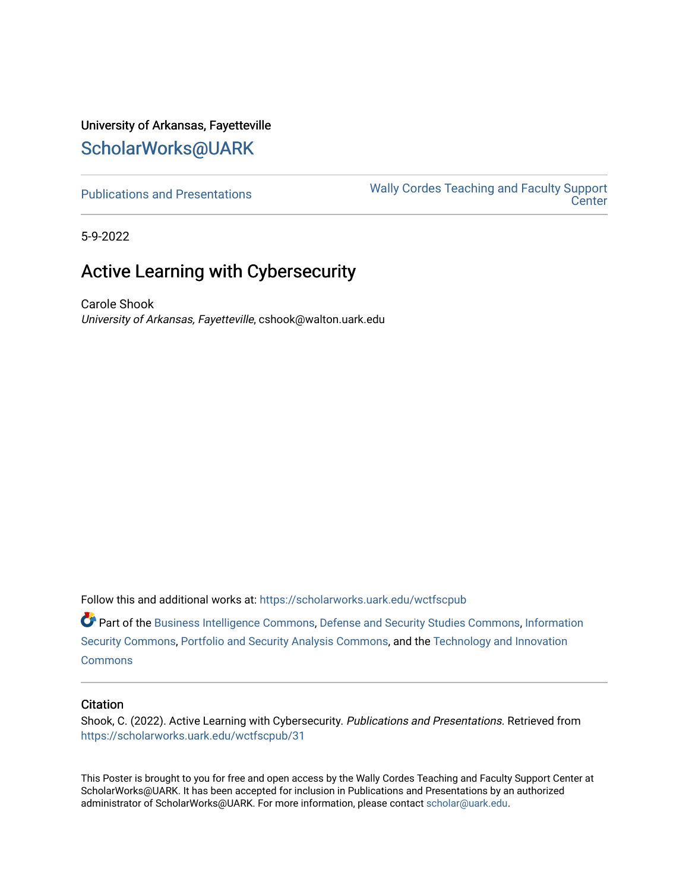### University of Arkansas, Fayetteville [ScholarWorks@UARK](https://scholarworks.uark.edu/)

[Publications and Presentations](https://scholarworks.uark.edu/wctfscpub) [Wally Cordes Teaching and Faculty Support](https://scholarworks.uark.edu/wctfsc)  **Center** 

5-9-2022

### Active Learning with Cybersecurity

Carole Shook University of Arkansas, Fayetteville, cshook@walton.uark.edu

Follow this and additional works at: [https://scholarworks.uark.edu/wctfscpub](https://scholarworks.uark.edu/wctfscpub?utm_source=scholarworks.uark.edu%2Fwctfscpub%2F31&utm_medium=PDF&utm_campaign=PDFCoverPages) 

Part of the [Business Intelligence Commons,](https://network.bepress.com/hgg/discipline/1326?utm_source=scholarworks.uark.edu%2Fwctfscpub%2F31&utm_medium=PDF&utm_campaign=PDFCoverPages) [Defense and Security Studies Commons](https://network.bepress.com/hgg/discipline/394?utm_source=scholarworks.uark.edu%2Fwctfscpub%2F31&utm_medium=PDF&utm_campaign=PDFCoverPages), [Information](https://network.bepress.com/hgg/discipline/1247?utm_source=scholarworks.uark.edu%2Fwctfscpub%2F31&utm_medium=PDF&utm_campaign=PDFCoverPages)  [Security Commons](https://network.bepress.com/hgg/discipline/1247?utm_source=scholarworks.uark.edu%2Fwctfscpub%2F31&utm_medium=PDF&utm_campaign=PDFCoverPages), [Portfolio and Security Analysis Commons](https://network.bepress.com/hgg/discipline/640?utm_source=scholarworks.uark.edu%2Fwctfscpub%2F31&utm_medium=PDF&utm_campaign=PDFCoverPages), and the [Technology and Innovation](https://network.bepress.com/hgg/discipline/644?utm_source=scholarworks.uark.edu%2Fwctfscpub%2F31&utm_medium=PDF&utm_campaign=PDFCoverPages)  **[Commons](https://network.bepress.com/hgg/discipline/644?utm_source=scholarworks.uark.edu%2Fwctfscpub%2F31&utm_medium=PDF&utm_campaign=PDFCoverPages)** 

### **Citation**

Shook, C. (2022). Active Learning with Cybersecurity. Publications and Presentations. Retrieved from [https://scholarworks.uark.edu/wctfscpub/31](https://scholarworks.uark.edu/wctfscpub/31?utm_source=scholarworks.uark.edu%2Fwctfscpub%2F31&utm_medium=PDF&utm_campaign=PDFCoverPages)

This Poster is brought to you for free and open access by the Wally Cordes Teaching and Faculty Support Center at ScholarWorks@UARK. It has been accepted for inclusion in Publications and Presentations by an authorized administrator of ScholarWorks@UARK. For more information, please contact [scholar@uark.edu](mailto:scholar@uark.edu).